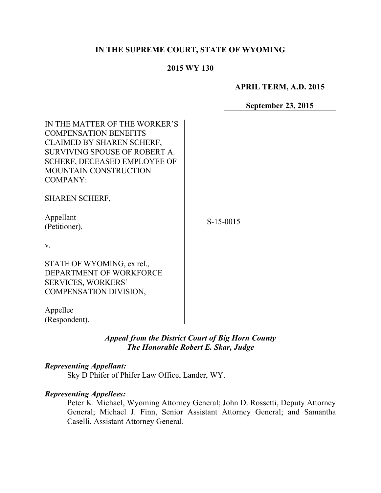# **IN THE SUPREME COURT, STATE OF WYOMING**

#### **2015 WY 130**

**APRIL TERM, A.D. 2015**

**September 23, 2015**

| IN THE MATTER OF THE WORKER'S<br><b>COMPENSATION BENEFITS</b><br><b>CLAIMED BY SHAREN SCHERF,</b><br>SURVIVING SPOUSE OF ROBERT A.<br><b>SCHERF, DECEASED EMPLOYEE OF</b><br>MOUNTAIN CONSTRUCTION<br><b>COMPANY:</b> |             |
|-----------------------------------------------------------------------------------------------------------------------------------------------------------------------------------------------------------------------|-------------|
| <b>SHAREN SCHERF,</b>                                                                                                                                                                                                 |             |
| Appellant<br>(Petitioner),                                                                                                                                                                                            | $S-15-0015$ |
| V.                                                                                                                                                                                                                    |             |
| STATE OF WYOMING, ex rel.,<br>DEPARTMENT OF WORKFORCE<br><b>SERVICES, WORKERS'</b><br>COMPENSATION DIVISION,                                                                                                          |             |
| Appellee<br>(Respondent).                                                                                                                                                                                             |             |

# *Appeal from the District Court of Big Horn County The Honorable Robert E. Skar, Judge*

#### *Representing Appellant:*

Sky D Phifer of Phifer Law Office, Lander, WY.

### *Representing Appellees:*

Peter K. Michael, Wyoming Attorney General; John D. Rossetti, Deputy Attorney General; Michael J. Finn, Senior Assistant Attorney General; and Samantha Caselli, Assistant Attorney General.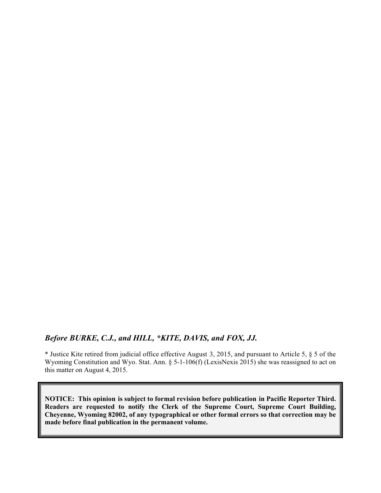### *Before BURKE, C.J., and HILL, \*KITE, DAVIS, and FOX, JJ.*

\* Justice Kite retired from judicial office effective August 3, 2015, and pursuant to Article 5, § 5 of the Wyoming Constitution and Wyo. Stat. Ann. § 5-1-106(f) (LexisNexis 2015) she was reassigned to act on this matter on August 4, 2015.

**NOTICE: This opinion is subject to formal revision before publication in Pacific Reporter Third. Readers are requested to notify the Clerk of the Supreme Court, Supreme Court Building, Cheyenne, Wyoming 82002, of any typographical or other formal errors so that correction may be made before final publication in the permanent volume.**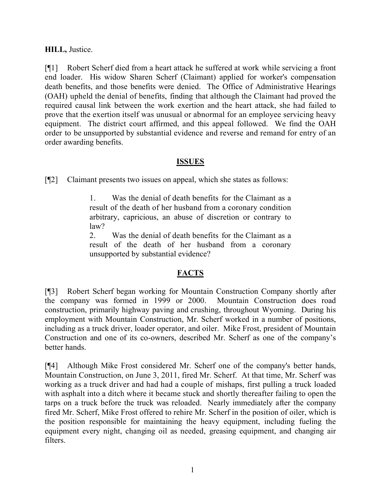# **HILL,** Justice.

[¶1] Robert Scherf died from a heart attack he suffered at work while servicing a front end loader. His widow Sharen Scherf (Claimant) applied for worker's compensation death benefits, and those benefits were denied. The Office of Administrative Hearings (OAH) upheld the denial of benefits, finding that although the Claimant had proved the required causal link between the work exertion and the heart attack, she had failed to prove that the exertion itself was unusual or abnormal for an employee servicing heavy equipment. The district court affirmed, and this appeal followed. We find the OAH order to be unsupported by substantial evidence and reverse and remand for entry of an order awarding benefits.

# **ISSUES**

[¶2] Claimant presents two issues on appeal, which she states as follows:

1. Was the denial of death benefits for the Claimant as a result of the death of her husband from a coronary condition arbitrary, capricious, an abuse of discretion or contrary to law?

2. Was the denial of death benefits for the Claimant as a result of the death of her husband from a coronary unsupported by substantial evidence?

# **FACTS**

[¶3] Robert Scherf began working for Mountain Construction Company shortly after the company was formed in 1999 or 2000. Mountain Construction does road construction, primarily highway paving and crushing, throughout Wyoming. During his employment with Mountain Construction, Mr. Scherf worked in a number of positions, including as a truck driver, loader operator, and oiler. Mike Frost, president of Mountain Construction and one of its co-owners, described Mr. Scherf as one of the company's better hands.

[¶4] Although Mike Frost considered Mr. Scherf one of the company's better hands, Mountain Construction, on June 3, 2011, fired Mr. Scherf. At that time, Mr. Scherf was working as a truck driver and had had a couple of mishaps, first pulling a truck loaded with asphalt into a ditch where it became stuck and shortly thereafter failing to open the tarps on a truck before the truck was reloaded. Nearly immediately after the company fired Mr. Scherf, Mike Frost offered to rehire Mr. Scherf in the position of oiler, which is the position responsible for maintaining the heavy equipment, including fueling the equipment every night, changing oil as needed, greasing equipment, and changing air filters.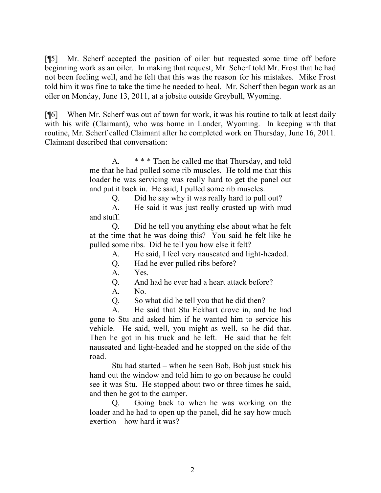[¶5] Mr. Scherf accepted the position of oiler but requested some time off before beginning work as an oiler. In making that request, Mr. Scherf told Mr. Frost that he had not been feeling well, and he felt that this was the reason for his mistakes. Mike Frost told him it was fine to take the time he needed to heal. Mr. Scherf then began work as an oiler on Monday, June 13, 2011, at a jobsite outside Greybull, Wyoming.

[¶6] When Mr. Scherf was out of town for work, it was his routine to talk at least daily with his wife (Claimant), who was home in Lander, Wyoming. In keeping with that routine, Mr. Scherf called Claimant after he completed work on Thursday, June 16, 2011. Claimant described that conversation:

> A. \* \* \* Then he called me that Thursday, and told me that he had pulled some rib muscles. He told me that this loader he was servicing was really hard to get the panel out and put it back in. He said, I pulled some rib muscles.

> > Q. Did he say why it was really hard to pull out?

A. He said it was just really crusted up with mud and stuff.

Q. Did he tell you anything else about what he felt at the time that he was doing this? You said he felt like he pulled some ribs. Did he tell you how else it felt?

A. He said, I feel very nauseated and light-headed.

Q. Had he ever pulled ribs before?

A. Yes.

Q. And had he ever had a heart attack before?

A. No.

Q. So what did he tell you that he did then?

A. He said that Stu Eckhart drove in, and he had gone to Stu and asked him if he wanted him to service his vehicle. He said, well, you might as well, so he did that. Then he got in his truck and he left. He said that he felt nauseated and light-headed and he stopped on the side of the road.

Stu had started – when he seen Bob, Bob just stuck his hand out the window and told him to go on because he could see it was Stu. He stopped about two or three times he said, and then he got to the camper.

Q. Going back to when he was working on the loader and he had to open up the panel, did he say how much exertion – how hard it was?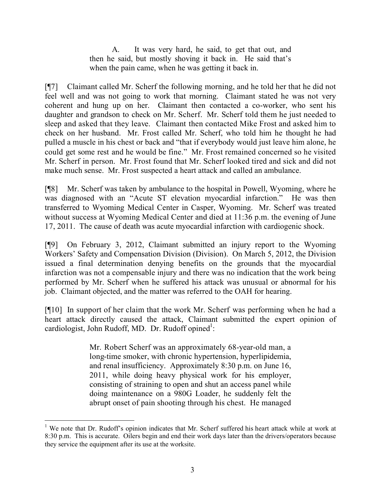A. It was very hard, he said, to get that out, and then he said, but mostly shoving it back in. He said that's when the pain came, when he was getting it back in.

[¶7] Claimant called Mr. Scherf the following morning, and he told her that he did not feel well and was not going to work that morning. Claimant stated he was not very coherent and hung up on her. Claimant then contacted a co-worker, who sent his daughter and grandson to check on Mr. Scherf. Mr. Scherf told them he just needed to sleep and asked that they leave. Claimant then contacted Mike Frost and asked him to check on her husband. Mr. Frost called Mr. Scherf, who told him he thought he had pulled a muscle in his chest or back and "that if everybody would just leave him alone, he could get some rest and he would be fine." Mr. Frost remained concerned so he visited Mr. Scherf in person. Mr. Frost found that Mr. Scherf looked tired and sick and did not make much sense. Mr. Frost suspected a heart attack and called an ambulance.

[¶8] Mr. Scherf was taken by ambulance to the hospital in Powell, Wyoming, where he was diagnosed with an "Acute ST elevation myocardial infarction." He was then transferred to Wyoming Medical Center in Casper, Wyoming. Mr. Scherf was treated without success at Wyoming Medical Center and died at 11:36 p.m. the evening of June 17, 2011. The cause of death was acute myocardial infarction with cardiogenic shock.

[¶9] On February 3, 2012, Claimant submitted an injury report to the Wyoming Workers' Safety and Compensation Division (Division). On March 5, 2012, the Division issued a final determination denying benefits on the grounds that the myocardial infarction was not a compensable injury and there was no indication that the work being performed by Mr. Scherf when he suffered his attack was unusual or abnormal for his job. Claimant objected, and the matter was referred to the OAH for hearing.

[¶10] In support of her claim that the work Mr. Scherf was performing when he had a heart attack directly caused the attack, Claimant submitted the expert opinion of cardiologist, John Rudoff, MD. Dr. Rudoff opined<sup>1</sup>:

> Mr. Robert Scherf was an approximately 68-year-old man, a long-time smoker, with chronic hypertension, hyperlipidemia, and renal insufficiency. Approximately 8:30 p.m. on June 16, 2011, while doing heavy physical work for his employer, consisting of straining to open and shut an access panel while doing maintenance on a 980G Loader, he suddenly felt the abrupt onset of pain shooting through his chest. He managed

<sup>&</sup>lt;sup>1</sup> We note that Dr. Rudoff's opinion indicates that Mr. Scherf suffered his heart attack while at work at 8:30 p.m. This is accurate. Oilers begin and end their work days later than the drivers/operators because they service the equipment after its use at the worksite.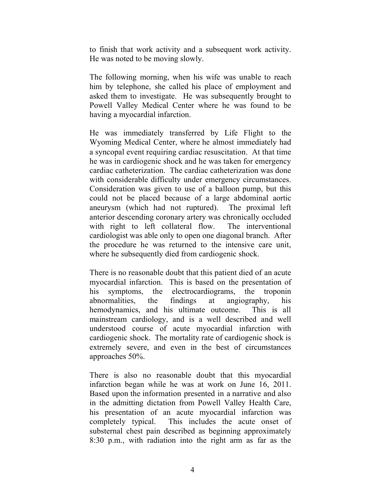to finish that work activity and a subsequent work activity. He was noted to be moving slowly.

The following morning, when his wife was unable to reach him by telephone, she called his place of employment and asked them to investigate. He was subsequently brought to Powell Valley Medical Center where he was found to be having a myocardial infarction.

He was immediately transferred by Life Flight to the Wyoming Medical Center, where he almost immediately had a syncopal event requiring cardiac resuscitation. At that time he was in cardiogenic shock and he was taken for emergency cardiac catheterization. The cardiac catheterization was done with considerable difficulty under emergency circumstances. Consideration was given to use of a balloon pump, but this could not be placed because of a large abdominal aortic aneurysm (which had not ruptured). The proximal left anterior descending coronary artery was chronically occluded with right to left collateral flow. The interventional cardiologist was able only to open one diagonal branch. After the procedure he was returned to the intensive care unit, where he subsequently died from cardiogenic shock.

There is no reasonable doubt that this patient died of an acute myocardial infarction. This is based on the presentation of his symptoms, the electrocardiograms, the troponin abnormalities, the findings at angiography, his hemodynamics, and his ultimate outcome. This is all mainstream cardiology, and is a well described and well understood course of acute myocardial infarction with cardiogenic shock. The mortality rate of cardiogenic shock is extremely severe, and even in the best of circumstances approaches 50%.

There is also no reasonable doubt that this myocardial infarction began while he was at work on June 16, 2011. Based upon the information presented in a narrative and also in the admitting dictation from Powell Valley Health Care, his presentation of an acute myocardial infarction was completely typical. This includes the acute onset of substernal chest pain described as beginning approximately 8:30 p.m., with radiation into the right arm as far as the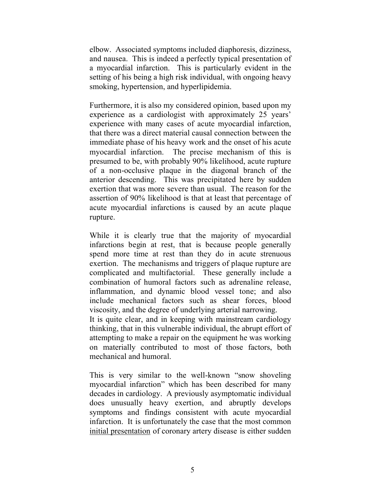elbow. Associated symptoms included diaphoresis, dizziness, and nausea. This is indeed a perfectly typical presentation of a myocardial infarction. This is particularly evident in the setting of his being a high risk individual, with ongoing heavy smoking, hypertension, and hyperlipidemia.

Furthermore, it is also my considered opinion, based upon my experience as a cardiologist with approximately 25 years' experience with many cases of acute myocardial infarction, that there was a direct material causal connection between the immediate phase of his heavy work and the onset of his acute myocardial infarction. The precise mechanism of this is presumed to be, with probably 90% likelihood, acute rupture of a non-occlusive plaque in the diagonal branch of the anterior descending. This was precipitated here by sudden exertion that was more severe than usual. The reason for the assertion of 90% likelihood is that at least that percentage of acute myocardial infarctions is caused by an acute plaque rupture.

While it is clearly true that the majority of myocardial infarctions begin at rest, that is because people generally spend more time at rest than they do in acute strenuous exertion. The mechanisms and triggers of plaque rupture are complicated and multifactorial. These generally include a combination of humoral factors such as adrenaline release, inflammation, and dynamic blood vessel tone; and also include mechanical factors such as shear forces, blood viscosity, and the degree of underlying arterial narrowing. It is quite clear, and in keeping with mainstream cardiology thinking, that in this vulnerable individual, the abrupt effort of attempting to make a repair on the equipment he was working on materially contributed to most of those factors, both mechanical and humoral.

This is very similar to the well-known "snow shoveling myocardial infarction" which has been described for many decades in cardiology. A previously asymptomatic individual does unusually heavy exertion, and abruptly develops symptoms and findings consistent with acute myocardial infarction. It is unfortunately the case that the most common initial presentation of coronary artery disease is either sudden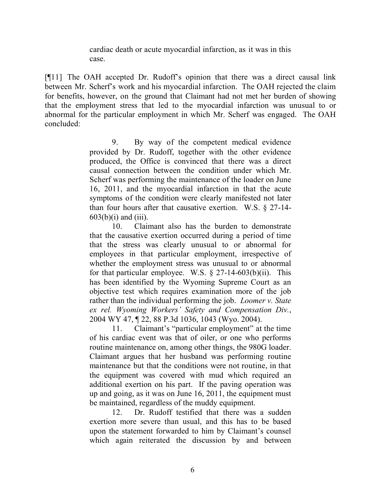cardiac death or acute myocardial infarction, as it was in this case.

[¶11] The OAH accepted Dr. Rudoff's opinion that there was a direct causal link between Mr. Scherf's work and his myocardial infarction. The OAH rejected the claim for benefits, however, on the ground that Claimant had not met her burden of showing that the employment stress that led to the myocardial infarction was unusual to or abnormal for the particular employment in which Mr. Scherf was engaged. The OAH concluded:

> 9. By way of the competent medical evidence provided by Dr. Rudoff, together with the other evidence produced, the Office is convinced that there was a direct causal connection between the condition under which Mr. Scherf was performing the maintenance of the loader on June 16, 2011, and the myocardial infarction in that the acute symptoms of the condition were clearly manifested not later than four hours after that causative exertion. W.S. § 27-14-  $603(b)(i)$  and  $(iii)$ .

> 10. Claimant also has the burden to demonstrate that the causative exertion occurred during a period of time that the stress was clearly unusual to or abnormal for employees in that particular employment, irrespective of whether the employment stress was unusual to or abnormal for that particular employee. W.S.  $\S$  27-14-603(b)(ii). This has been identified by the Wyoming Supreme Court as an objective test which requires examination more of the job rather than the individual performing the job. *Loomer v. State ex rel. Wyoming Workers' Safety and Compensation Div.*, 2004 WY 47, ¶ 22, 88 P.3d 1036, 1043 (Wyo. 2004).

> 11. Claimant's "particular employment" at the time of his cardiac event was that of oiler, or one who performs routine maintenance on, among other things, the 980G loader. Claimant argues that her husband was performing routine maintenance but that the conditions were not routine, in that the equipment was covered with mud which required an additional exertion on his part. If the paving operation was up and going, as it was on June 16, 2011, the equipment must be maintained, regardless of the muddy equipment.

> 12. Dr. Rudoff testified that there was a sudden exertion more severe than usual, and this has to be based upon the statement forwarded to him by Claimant's counsel which again reiterated the discussion by and between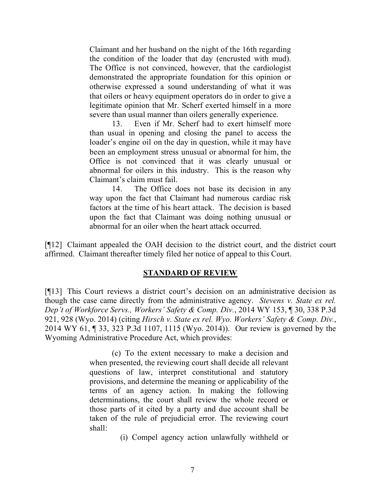Claimant and her husband on the night of the 16th regarding the condition of the loader that day (encrusted with mud). The Office is not convinced, however, that the cardiologist demonstrated the appropriate foundation for this opinion or otherwise expressed a sound understanding of what it was that oilers or heavy equipment operators do in order to give a legitimate opinion that Mr. Scherf exerted himself in a more severe than usual manner than oilers generally experience.

13. Even if Mr. Scherf had to exert himself more than usual in opening and closing the panel to access the loader's engine oil on the day in question, while it may have been an employment stress unusual or abnormal for him, the Office is not convinced that it was clearly unusual or abnormal for oilers in this industry. This is the reason why Claimant's claim must fail.

14. The Office does not base its decision in any way upon the fact that Claimant had numerous cardiac risk factors at the time of his heart attack. The decision is based upon the fact that Claimant was doing nothing unusual or abnormal for an oiler when the heart attack occurred.

[¶12] Claimant appealed the OAH decision to the district court, and the district court affirmed. Claimant thereafter timely filed her notice of appeal to this Court.

# **STANDARD OF REVIEW**

[¶13] This Court reviews a district court's decision on an administrative decision as though the case came directly from the administrative agency. *Stevens v. State ex rel. Dep't of Workforce Servs., Workers' Safety & Comp. Div.*, 2014 WY 153, ¶ 30, 338 P.3d 921, 928 (Wyo. 2014) (citing *Hirsch v. State ex rel. Wyo. Workers' Safety & Comp. Div.*, 2014 WY 61, ¶ 33, 323 P.3d 1107, 1115 (Wyo. 2014)). Our review is governed by the Wyoming Administrative Procedure Act, which provides:

> (c) To the extent necessary to make a decision and when presented, the reviewing court shall decide all relevant questions of law, interpret constitutional and statutory provisions, and determine the meaning or applicability of the terms of an agency action. In making the following determinations, the court shall review the whole record or those parts of it cited by a party and due account shall be taken of the rule of prejudicial error. The reviewing court shall:

> > (i) Compel agency action unlawfully withheld or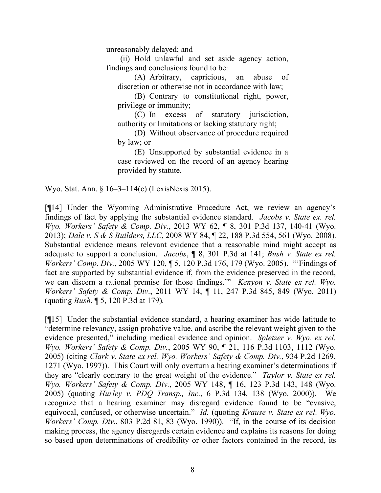unreasonably delayed; and

(ii) Hold unlawful and set aside agency action, findings and conclusions found to be:

(A) Arbitrary, capricious, an abuse of discretion or otherwise not in accordance with law;

(B) Contrary to constitutional right, power, privilege or immunity;

(C) In excess of statutory jurisdiction, authority or limitations or lacking statutory right;

(D) Without observance of procedure required by law; or

(E) Unsupported by substantial evidence in a case reviewed on the record of an agency hearing provided by statute.

Wyo. Stat. Ann. § 16–3–114(c) (LexisNexis 2015).

[¶14] Under the Wyoming Administrative Procedure Act, we review an agency's findings of fact by applying the substantial evidence standard. *Jacobs v. State ex. rel. Wyo. Workers' Safety & Comp. Div.*, 2013 WY 62, ¶ 8, 301 P.3d 137, 140-41 (Wyo. 2013); *Dale v. S & S Builders, LLC*, 2008 WY 84, ¶ 22, 188 P.3d 554, 561 (Wyo. 2008). Substantial evidence means relevant evidence that a reasonable mind might accept as adequate to support a conclusion. *Jacobs*, ¶ 8, 301 P.3d at 141; *Bush v. State ex rel. Workers' Comp. Div.*, 2005 WY 120, ¶ 5, 120 P.3d 176, 179 (Wyo. 2005). "'Findings of fact are supported by substantial evidence if, from the evidence preserved in the record, we can discern a rational premise for those findings.'" *Kenyon v. State ex rel. Wyo. Workers' Safety & Comp. Div*., 2011 WY 14, ¶ 11, 247 P.3d 845, 849 (Wyo. 2011) (quoting *Bush*, ¶ 5, 120 P.3d at 179).

[¶15] Under the substantial evidence standard, a hearing examiner has wide latitude to "determine relevancy, assign probative value, and ascribe the relevant weight given to the evidence presented," including medical evidence and opinion. *Spletzer v. Wyo. ex rel. Wyo. Workers' Safety & Comp. Div.*, 2005 WY 90, ¶ 21, 116 P.3d 1103, 1112 (Wyo. 2005) (citing *Clark v. State ex rel. Wyo. Workers' Safety & Comp. Div.*, 934 P.2d 1269, 1271 (Wyo. 1997)). This Court will only overturn a hearing examiner's determinations if they are "clearly contrary to the great weight of the evidence." *Taylor v. State ex rel. Wyo. Workers' Safety & Comp. Div.*, 2005 WY 148, ¶ 16, 123 P.3d 143, 148 (Wyo. 2005) (quoting *Hurley v. PDQ Transp., Inc.*, 6 P.3d 134, 138 (Wyo. 2000)). We recognize that a hearing examiner may disregard evidence found to be "evasive, equivocal, confused, or otherwise uncertain." *Id.* (quoting *Krause v. State ex rel. Wyo. Workers' Comp. Div.*, 803 P.2d 81, 83 (Wyo. 1990)). "If, in the course of its decision making process, the agency disregards certain evidence and explains its reasons for doing so based upon determinations of credibility or other factors contained in the record, its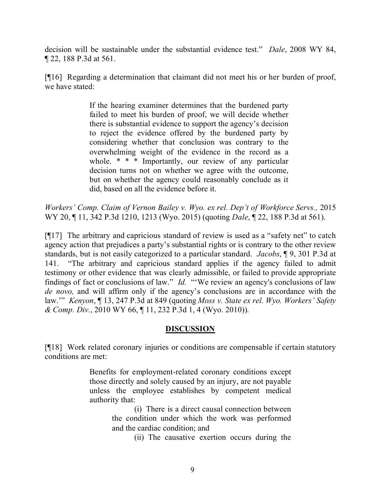decision will be sustainable under the substantial evidence test." *Dale*, 2008 WY 84, ¶ 22, 188 P.3d at 561.

[¶16] Regarding a determination that claimant did not meet his or her burden of proof, we have stated:

> If the hearing examiner determines that the burdened party failed to meet his burden of proof, we will decide whether there is substantial evidence to support the agency's decision to reject the evidence offered by the burdened party by considering whether that conclusion was contrary to the overwhelming weight of the evidence in the record as a whole. \* \* \* Importantly, our review of any particular decision turns not on whether we agree with the outcome, but on whether the agency could reasonably conclude as it did, based on all the evidence before it.

*Workers' Comp. Claim of Vernon Bailey v. Wyo. ex rel. Dep't of Workforce Servs.,* 2015 WY 20, ¶ 11, 342 P.3d 1210, 1213 (Wyo. 2015) (quoting *Dale*, ¶ 22, 188 P.3d at 561).

[¶17] The arbitrary and capricious standard of review is used as a "safety net" to catch agency action that prejudices a party's substantial rights or is contrary to the other review standards, but is not easily categorized to a particular standard. *Jacobs*, ¶ 9, 301 P.3d at 141. "The arbitrary and capricious standard applies if the agency failed to admit testimony or other evidence that was clearly admissible, or failed to provide appropriate findings of fact or conclusions of law." *Id.* "'We review an agency's conclusions of law *de novo,* and will affirm only if the agency's conclusions are in accordance with the law.'" *Kenyon*, ¶ 13, 247 P.3d at 849 (quoting *Moss v. State ex rel. Wyo. Workers' Safety & Comp. Div.*, 2010 WY 66, ¶ 11, 232 P.3d 1, 4 (Wyo. 2010)).

# **DISCUSSION**

[¶18] Work related coronary injuries or conditions are compensable if certain statutory conditions are met:

> Benefits for employment-related coronary conditions except those directly and solely caused by an injury, are not payable unless the employee establishes by competent medical authority that:

> > (i) There is a direct causal connection between the condition under which the work was performed and the cardiac condition; and

> > > (ii) The causative exertion occurs during the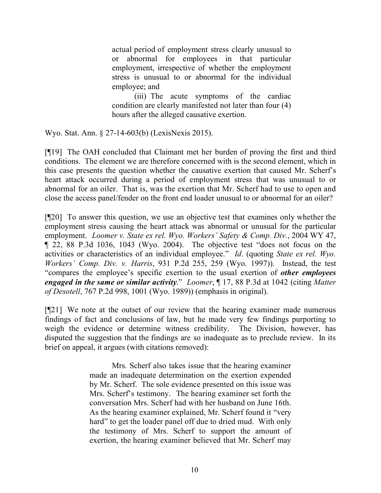actual period of employment stress clearly unusual to or abnormal for employees in that particular employment, irrespective of whether the employment stress is unusual to or abnormal for the individual employee; and

(iii) The acute symptoms of the cardiac condition are clearly manifested not later than four (4) hours after the alleged causative exertion.

Wyo. Stat. Ann. § 27-14-603(b) (LexisNexis 2015).

[¶19] The OAH concluded that Claimant met her burden of proving the first and third conditions. The element we are therefore concerned with is the second element, which in this case presents the question whether the causative exertion that caused Mr. Scherf's heart attack occurred during a period of employment stress that was unusual to or abnormal for an oiler. That is, was the exertion that Mr. Scherf had to use to open and close the access panel/fender on the front end loader unusual to or abnormal for an oiler?

[¶20] To answer this question, we use an objective test that examines only whether the employment stress causing the heart attack was abnormal or unusual for the particular employment. *Loomer v. State ex rel. Wyo. Workers' Safety & Comp. Div.*, 2004 WY 47, ¶ 22, 88 P.3d 1036, 1043 (Wyo. 2004). The objective test "does not focus on the activities or characteristics of an individual employee." *Id*. (quoting *State ex rel. Wyo. Workers' Comp. Div. v. Harris*, 931 P.2d 255, 259 (Wyo. 1997)). Instead, the test "compares the employee's specific exertion to the usual exertion of *other employees engaged in the same or similar activity*." *Loomer*, ¶ 17, 88 P.3d at 1042 (citing *Matter of Desotell*, 767 P.2d 998, 1001 (Wyo. 1989)) (emphasis in original).

[¶21] We note at the outset of our review that the hearing examiner made numerous findings of fact and conclusions of law, but he made very few findings purporting to weigh the evidence or determine witness credibility. The Division, however, has disputed the suggestion that the findings are so inadequate as to preclude review. In its brief on appeal, it argues (with citations removed):

> Mrs. Scherf also takes issue that the hearing examiner made an inadequate determination on the exertion expended by Mr. Scherf. The sole evidence presented on this issue was Mrs. Scherf's testimony. The hearing examiner set forth the conversation Mrs. Scherf had with her husband on June 16th. As the hearing examiner explained, Mr. Scherf found it "very hard" to get the loader panel off due to dried mud. With only the testimony of Mrs. Scherf to support the amount of exertion, the hearing examiner believed that Mr. Scherf may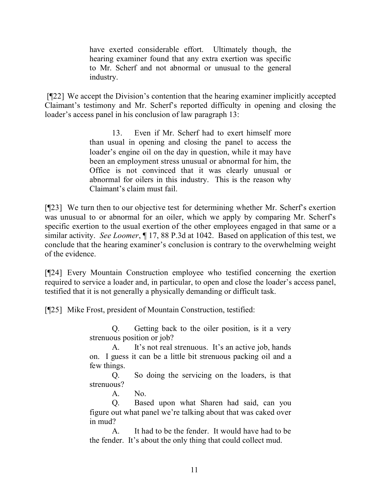have exerted considerable effort. Ultimately though, the hearing examiner found that any extra exertion was specific to Mr. Scherf and not abnormal or unusual to the general industry.

[¶22] We accept the Division's contention that the hearing examiner implicitly accepted Claimant's testimony and Mr. Scherf's reported difficulty in opening and closing the loader's access panel in his conclusion of law paragraph 13:

> 13. Even if Mr. Scherf had to exert himself more than usual in opening and closing the panel to access the loader's engine oil on the day in question, while it may have been an employment stress unusual or abnormal for him, the Office is not convinced that it was clearly unusual or abnormal for oilers in this industry. This is the reason why Claimant's claim must fail.

[¶23] We turn then to our objective test for determining whether Mr. Scherf's exertion was unusual to or abnormal for an oiler, which we apply by comparing Mr. Scherf's specific exertion to the usual exertion of the other employees engaged in that same or a similar activity. *See Loomer*, ¶ 17, 88 P.3d at 1042. Based on application of this test, we conclude that the hearing examiner's conclusion is contrary to the overwhelming weight of the evidence.

[¶24] Every Mountain Construction employee who testified concerning the exertion required to service a loader and, in particular, to open and close the loader's access panel, testified that it is not generally a physically demanding or difficult task.

[¶25] Mike Frost, president of Mountain Construction, testified:

Q. Getting back to the oiler position, is it a very strenuous position or job?

A. It's not real strenuous. It's an active job, hands on. I guess it can be a little bit strenuous packing oil and a few things.

Q. So doing the servicing on the loaders, is that strenuous?

A. No.

Q. Based upon what Sharen had said, can you figure out what panel we're talking about that was caked over in mud?

A. It had to be the fender. It would have had to be the fender. It's about the only thing that could collect mud.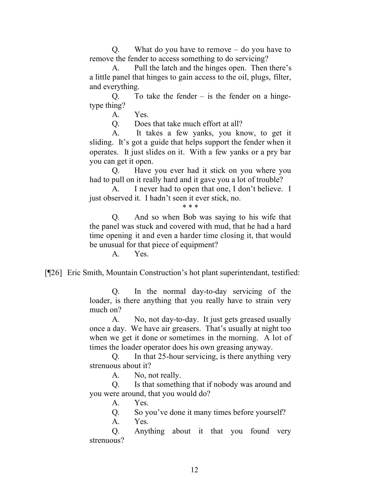Q. What do you have to remove – do you have to remove the fender to access something to do servicing?

A. Pull the latch and the hinges open. Then there's a little panel that hinges to gain access to the oil, plugs, filter, and everything.

 $Q.$  To take the fender  $-$  is the fender on a hingetype thing?

A. Yes.

Q. Does that take much effort at all?

A. It takes a few yanks, you know, to get it sliding. It's got a guide that helps support the fender when it operates. It just slides on it. With a few yanks or a pry bar you can get it open.

Q. Have you ever had it stick on you where you had to pull on it really hard and it gave you a lot of trouble?

A. I never had to open that one, I don't believe. I just observed it. I hadn't seen it ever stick, no.

\* \* \*

Q. And so when Bob was saying to his wife that the panel was stuck and covered with mud, that he had a hard time opening it and even a harder time closing it, that would be unusual for that piece of equipment?

A. Yes.

[¶26] Eric Smith, Mountain Construction's hot plant superintendant, testified:

Q. In the normal day-to-day servicing of the loader, is there anything that you really have to strain very much on?

A. No, not day-to-day. It just gets greased usually once a day. We have air greasers. That's usually at night too when we get it done or sometimes in the morning. A lot of times the loader operator does his own greasing anyway.

Q. In that 25-hour servicing, is there anything very strenuous about it?

A. No, not really.

Q. Is that something that if nobody was around and you were around, that you would do?

A. Yes.

Q. So you've done it many times before yourself?

A. Yes.

Q. Anything about it that you found very strenuous?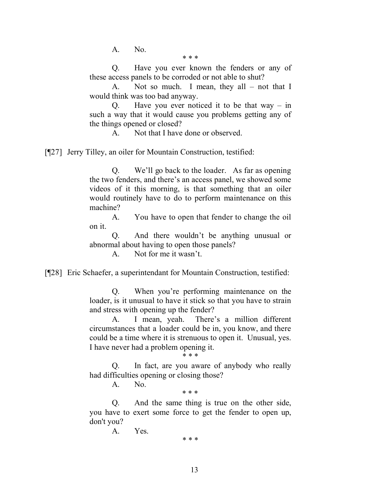A. No.

\* \* \*

Q. Have you ever known the fenders or any of these access panels to be corroded or not able to shut?

A. Not so much. I mean, they all – not that I would think was too bad anyway.

Q. Have you ever noticed it to be that way – in such a way that it would cause you problems getting any of the things opened or closed?

A. Not that I have done or observed.

[¶27] Jerry Tilley, an oiler for Mountain Construction, testified:

Q. We'll go back to the loader. As far as opening the two fenders, and there's an access panel, we showed some videos of it this morning, is that something that an oiler would routinely have to do to perform maintenance on this machine?

A. You have to open that fender to change the oil on it.

Q. And there wouldn't be anything unusual or abnormal about having to open those panels?

A. Not for me it wasn't.

[¶28] Eric Schaefer, a superintendant for Mountain Construction, testified:

Q. When you're performing maintenance on the loader, is it unusual to have it stick so that you have to strain and stress with opening up the fender?

A. I mean, yeah. There's a million different circumstances that a loader could be in, you know, and there could be a time where it is strenuous to open it. Unusual, yes. I have never had a problem opening it. \* \* \*

Q. In fact, are you aware of anybody who really had difficulties opening or closing those?

A. No.

\* \* \*

Q. And the same thing is true on the other side, you have to exert some force to get the fender to open up, don't you?

> A. Yes. \* \* \*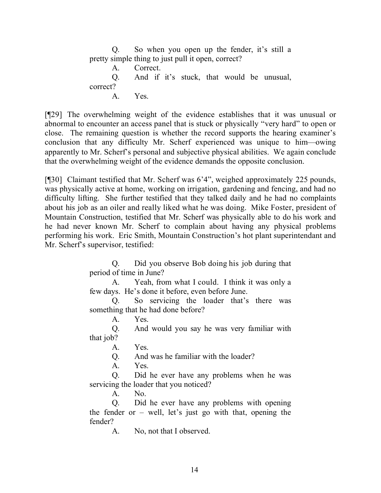Q. So when you open up the fender, it's still a pretty simple thing to just pull it open, correct? A. Correct. Q. And if it's stuck, that would be unusual, correct? A. Yes.

[¶29] The overwhelming weight of the evidence establishes that it was unusual or abnormal to encounter an access panel that is stuck or physically "very hard" to open or close. The remaining question is whether the record supports the hearing examiner's conclusion that any difficulty Mr. Scherf experienced was unique to him—owing apparently to Mr. Scherf's personal and subjective physical abilities. We again conclude that the overwhelming weight of the evidence demands the opposite conclusion.

[¶30] Claimant testified that Mr. Scherf was 6'4", weighed approximately 225 pounds, was physically active at home, working on irrigation, gardening and fencing, and had no difficulty lifting. She further testified that they talked daily and he had no complaints about his job as an oiler and really liked what he was doing. Mike Foster, president of Mountain Construction, testified that Mr. Scherf was physically able to do his work and he had never known Mr. Scherf to complain about having any physical problems performing his work. Eric Smith, Mountain Construction's hot plant superintendant and Mr. Scherf's supervisor, testified:

> Q. Did you observe Bob doing his job during that period of time in June?

> A. Yeah, from what I could. I think it was only a few days. He's done it before, even before June.

> Q. So servicing the loader that's there was something that he had done before?

> > A. Yes.

Q. And would you say he was very familiar with that job?

A. Yes.

Q. And was he familiar with the loader?

A. Yes.

Q. Did he ever have any problems when he was servicing the loader that you noticed?

A. No.

Q. Did he ever have any problems with opening the fender or  $-$  well, let's just go with that, opening the fender?

A. No, not that I observed.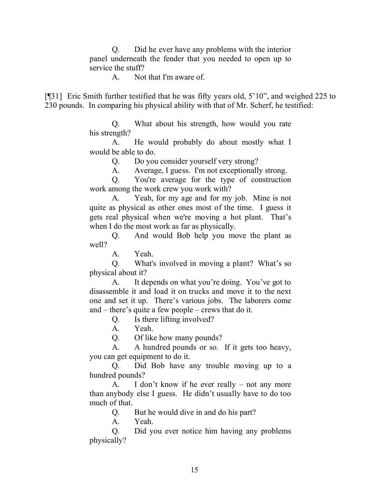Q. Did he ever have any problems with the interior panel underneath the fender that you needed to open up to service the stuff?

A. Not that I'm aware of.

[¶31] Eric Smith further testified that he was fifty years old, 5'10", and weighed 225 to 230 pounds. In comparing his physical ability with that of Mr. Scherf, he testified:

> Q. What about his strength, how would you rate his strength?

> A. He would probably do about mostly what I would be able to do.

> > Q. Do you consider yourself very strong?

A. Average, I guess. I'm not exceptionally strong.

Q. You're average for the type of construction work among the work crew you work with?

A. Yeah, for my age and for my job. Mine is not quite as physical as other ones most of the time. I guess it gets real physical when we're moving a hot plant. That's when I do the most work as far as physically.

Q. And would Bob help you move the plant as well?

A. Yeah.

Q. What's involved in moving a plant? What's so physical about it?

A. It depends on what you're doing. You've got to disassemble it and load it on trucks and move it to the next one and set it up. There's various jobs. The laborers come and – there's quite a few people – crews that do it.

Q. Is there lifting involved?

A. Yeah.

Q. Of like how many pounds?

A. A hundred pounds or so. If it gets too heavy, you can get equipment to do it.

Q. Did Bob have any trouble moving up to a hundred pounds?

A. I don't know if he ever really – not any more than anybody else I guess. He didn't usually have to do too much of that.

Q. But he would dive in and do his part?

A. Yeah.

Q. Did you ever notice him having any problems physically?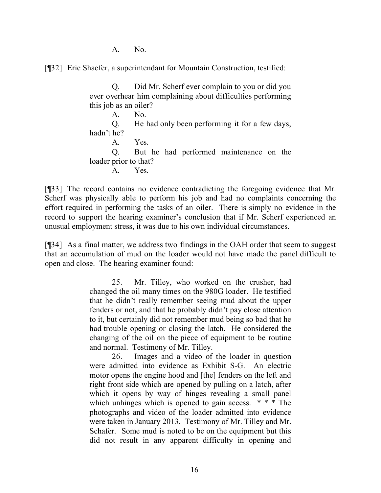A. No.

[¶32] Eric Shaefer, a superintendant for Mountain Construction, testified:

Q. Did Mr. Scherf ever complain to you or did you ever overhear him complaining about difficulties performing this job as an oiler?

A. No. Q. He had only been performing it for a few days, hadn't he? A. Yes. Q. But he had performed maintenance on the loader prior to that? A. Yes.

[¶33] The record contains no evidence contradicting the foregoing evidence that Mr. Scherf was physically able to perform his job and had no complaints concerning the effort required in performing the tasks of an oiler. There is simply no evidence in the record to support the hearing examiner's conclusion that if Mr. Scherf experienced an unusual employment stress, it was due to his own individual circumstances.

[¶34] As a final matter, we address two findings in the OAH order that seem to suggest that an accumulation of mud on the loader would not have made the panel difficult to open and close. The hearing examiner found:

> 25. Mr. Tilley, who worked on the crusher, had changed the oil many times on the 980G loader. He testified that he didn't really remember seeing mud about the upper fenders or not, and that he probably didn't pay close attention to it, but certainly did not remember mud being so bad that he had trouble opening or closing the latch. He considered the changing of the oil on the piece of equipment to be routine and normal. Testimony of Mr. Tilley.

> 26. Images and a video of the loader in question were admitted into evidence as Exhibit S-G. An electric motor opens the engine hood and [the] fenders on the left and right front side which are opened by pulling on a latch, after which it opens by way of hinges revealing a small panel which unhinges which is opened to gain access. \* \* \* The photographs and video of the loader admitted into evidence were taken in January 2013. Testimony of Mr. Tilley and Mr. Schafer. Some mud is noted to be on the equipment but this did not result in any apparent difficulty in opening and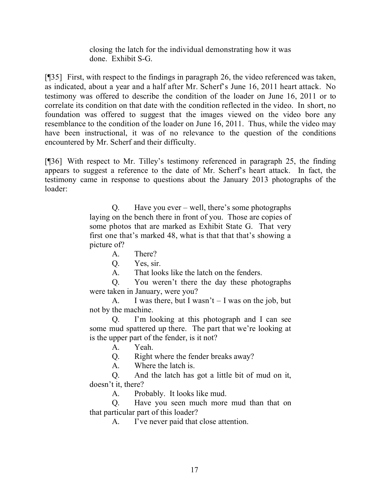closing the latch for the individual demonstrating how it was done. Exhibit S-G.

[¶35] First, with respect to the findings in paragraph 26, the video referenced was taken, as indicated, about a year and a half after Mr. Scherf's June 16, 2011 heart attack. No testimony was offered to describe the condition of the loader on June 16, 2011 or to correlate its condition on that date with the condition reflected in the video. In short, no foundation was offered to suggest that the images viewed on the video bore any resemblance to the condition of the loader on June 16, 2011. Thus, while the video may have been instructional, it was of no relevance to the question of the conditions encountered by Mr. Scherf and their difficulty.

[¶36] With respect to Mr. Tilley's testimony referenced in paragraph 25, the finding appears to suggest a reference to the date of Mr. Scherf's heart attack. In fact, the testimony came in response to questions about the January 2013 photographs of the loader:

> Q. Have you ever – well, there's some photographs laying on the bench there in front of you. Those are copies of some photos that are marked as Exhibit State G. That very first one that's marked 48, what is that that that's showing a picture of?

A. There?

Q. Yes, sir.

A. That looks like the latch on the fenders.

Q. You weren't there the day these photographs were taken in January, were you?

A. I was there, but I wasn't  $-$  I was on the job, but not by the machine.

Q. I'm looking at this photograph and I can see some mud spattered up there. The part that we're looking at is the upper part of the fender, is it not?

A. Yeah.

Q. Right where the fender breaks away?

A. Where the latch is.

Q. And the latch has got a little bit of mud on it, doesn't it, there?

A. Probably. It looks like mud.

Q. Have you seen much more mud than that on that particular part of this loader?

A. I've never paid that close attention.